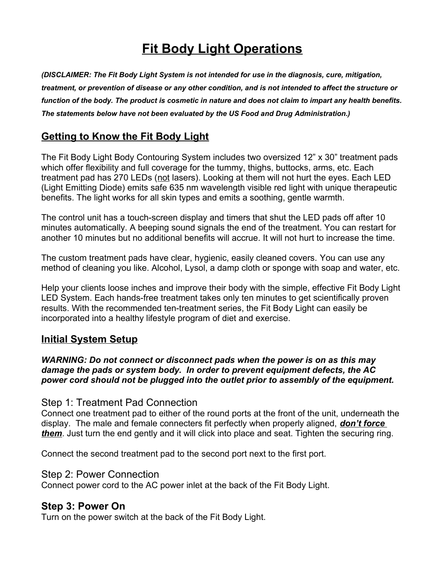# **Fit Body Light Operations**

*(DISCLAIMER: The Fit Body Light System is not intended for use in the diagnosis, cure, mitigation, treatment, or prevention of disease or any other condition, and is not intended to affect the structure or function of the body. The product is cosmetic in nature and does not claim to impart any health benefits. The statements below have not been evaluated by the US Food and Drug Administration.)*

## **Getting to Know the Fit Body Light**

The Fit Body Light Body Contouring System includes two oversized 12" x 30" treatment pads which offer flexibility and full coverage for the tummy, thighs, buttocks, arms, etc. Each treatment pad has 270 LEDs (not lasers). Looking at them will not hurt the eyes. Each LED (Light Emitting Diode) emits safe 635 nm wavelength visible red light with unique therapeutic benefits. The light works for all skin types and emits a soothing, gentle warmth.

The control unit has a touch-screen display and timers that shut the LED pads off after 10 minutes automatically. A beeping sound signals the end of the treatment. You can restart for another 10 minutes but no additional benefits will accrue. It will not hurt to increase the time.

The custom treatment pads have clear, hygienic, easily cleaned covers. You can use any method of cleaning you like. Alcohol, Lysol, a damp cloth or sponge with soap and water, etc.

Help your clients loose inches and improve their body with the simple, effective Fit Body Light LED System. Each hands-free treatment takes only ten minutes to get scientifically proven results. With the recommended ten-treatment series, the Fit Body Light can easily be incorporated into a healthy lifestyle program of diet and exercise.

## **Initial System Setup**

*WARNING: Do not connect or disconnect pads when the power is on as this may damage the pads or system body. In order to prevent equipment defects, the AC power cord should not be plugged into the outlet prior to assembly of the equipment.*

### Step 1: Treatment Pad Connection

Connect one treatment pad to either of the round ports at the front of the unit, underneath the display. The male and female connecters fit perfectly when properly aligned, *don't force them*. Just turn the end gently and it will click into place and seat. Tighten the securing ring.

Connect the second treatment pad to the second port next to the first port.

### Step 2: Power Connection

Connect power cord to the AC power inlet at the back of the Fit Body Light.

### **Step 3: Power On**

Turn on the power switch at the back of the Fit Body Light.